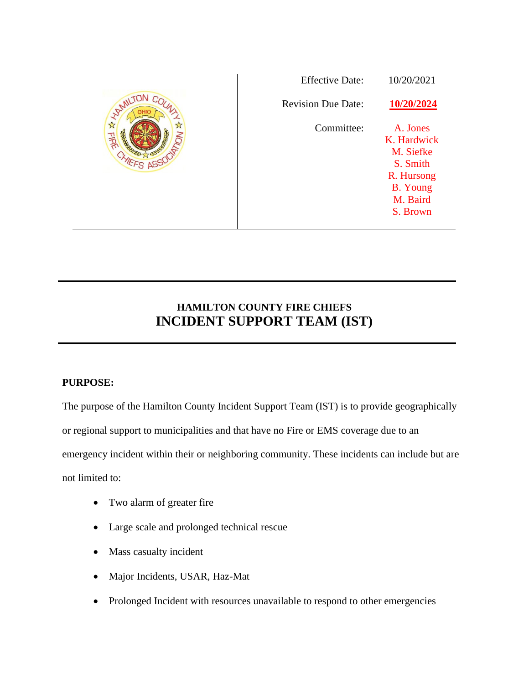|               | <b>Effective Date:</b>    | 10/20/2021                                                                                                |
|---------------|---------------------------|-----------------------------------------------------------------------------------------------------------|
| <b>HAMILT</b> | <b>Revision Due Date:</b> | 10/20/2024                                                                                                |
| FIRE          | Committee:                | A. Jones<br>K. Hardwick<br>M. Siefke<br>S. Smith<br>R. Hursong<br><b>B.</b> Young<br>M. Baird<br>S. Brown |

# **HAMILTON COUNTY FIRE CHIEFS INCIDENT SUPPORT TEAM (IST)**

# **PURPOSE:**

The purpose of the Hamilton County Incident Support Team (IST) is to provide geographically or regional support to municipalities and that have no Fire or EMS coverage due to an emergency incident within their or neighboring community. These incidents can include but are not limited to:

- Two alarm of greater fire
- Large scale and prolonged technical rescue
- Mass casualty incident
- Major Incidents, USAR, Haz-Mat
- Prolonged Incident with resources unavailable to respond to other emergencies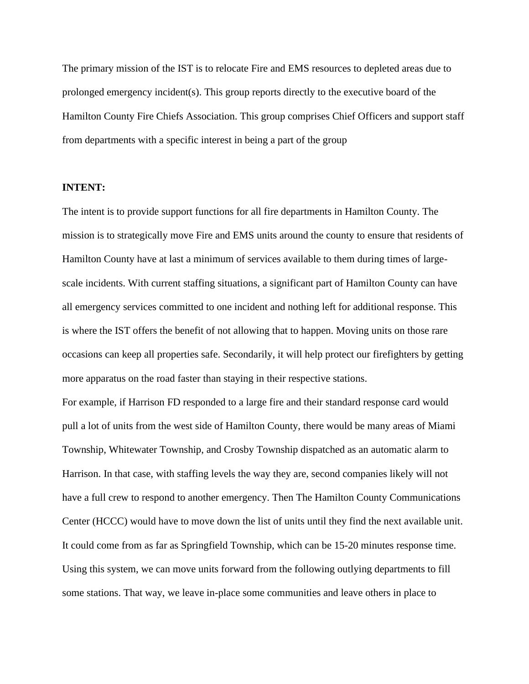The primary mission of the IST is to relocate Fire and EMS resources to depleted areas due to prolonged emergency incident(s). This group reports directly to the executive board of the Hamilton County Fire Chiefs Association. This group comprises Chief Officers and support staff from departments with a specific interest in being a part of the group

#### **INTENT:**

The intent is to provide support functions for all fire departments in Hamilton County. The mission is to strategically move Fire and EMS units around the county to ensure that residents of Hamilton County have at last a minimum of services available to them during times of largescale incidents. With current staffing situations, a significant part of Hamilton County can have all emergency services committed to one incident and nothing left for additional response. This is where the IST offers the benefit of not allowing that to happen. Moving units on those rare occasions can keep all properties safe. Secondarily, it will help protect our firefighters by getting more apparatus on the road faster than staying in their respective stations.

For example, if Harrison FD responded to a large fire and their standard response card would pull a lot of units from the west side of Hamilton County, there would be many areas of Miami Township, Whitewater Township, and Crosby Township dispatched as an automatic alarm to Harrison. In that case, with staffing levels the way they are, second companies likely will not have a full crew to respond to another emergency. Then The Hamilton County Communications Center (HCCC) would have to move down the list of units until they find the next available unit. It could come from as far as Springfield Township, which can be 15-20 minutes response time. Using this system, we can move units forward from the following outlying departments to fill some stations. That way, we leave in-place some communities and leave others in place to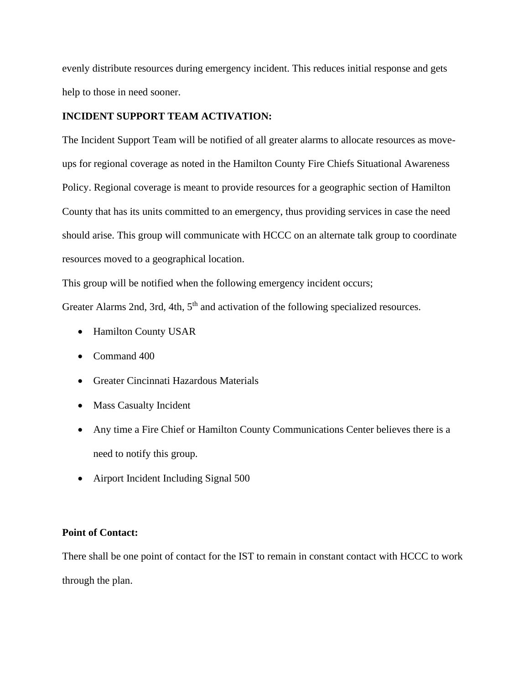evenly distribute resources during emergency incident. This reduces initial response and gets help to those in need sooner.

## **INCIDENT SUPPORT TEAM ACTIVATION:**

The Incident Support Team will be notified of all greater alarms to allocate resources as moveups for regional coverage as noted in the Hamilton County Fire Chiefs Situational Awareness Policy. Regional coverage is meant to provide resources for a geographic section of Hamilton County that has its units committed to an emergency, thus providing services in case the need should arise. This group will communicate with HCCC on an alternate talk group to coordinate resources moved to a geographical location.

This group will be notified when the following emergency incident occurs;

Greater Alarms 2nd, 3rd, 4th, 5<sup>th</sup> and activation of the following specialized resources.

- Hamilton County USAR
- Command 400
- Greater Cincinnati Hazardous Materials
- Mass Casualty Incident
- Any time a Fire Chief or Hamilton County Communications Center believes there is a need to notify this group.
- Airport Incident Including Signal 500

# **Point of Contact:**

There shall be one point of contact for the IST to remain in constant contact with HCCC to work through the plan.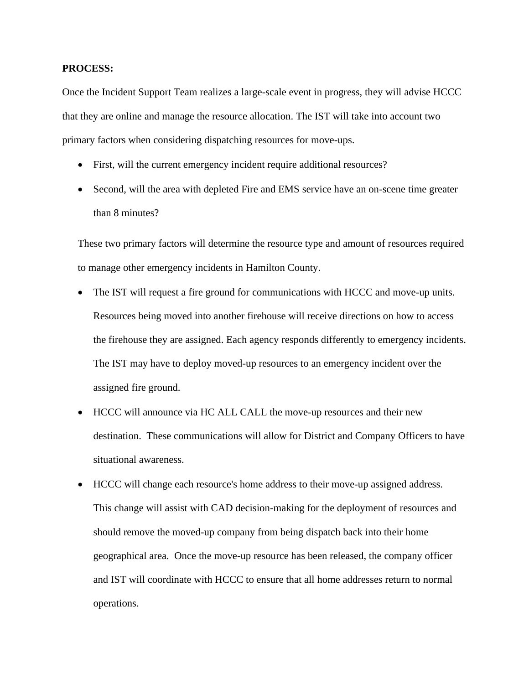#### **PROCESS:**

Once the Incident Support Team realizes a large-scale event in progress, they will advise HCCC that they are online and manage the resource allocation. The IST will take into account two primary factors when considering dispatching resources for move-ups.

- First, will the current emergency incident require additional resources?
- Second, will the area with depleted Fire and EMS service have an on-scene time greater than 8 minutes?

These two primary factors will determine the resource type and amount of resources required to manage other emergency incidents in Hamilton County.

- The IST will request a fire ground for communications with HCCC and move-up units. Resources being moved into another firehouse will receive directions on how to access the firehouse they are assigned. Each agency responds differently to emergency incidents. The IST may have to deploy moved-up resources to an emergency incident over the assigned fire ground.
- HCCC will announce via HC ALL CALL the move-up resources and their new destination. These communications will allow for District and Company Officers to have situational awareness.
- HCCC will change each resource's home address to their move-up assigned address. This change will assist with CAD decision-making for the deployment of resources and should remove the moved-up company from being dispatch back into their home geographical area. Once the move-up resource has been released, the company officer and IST will coordinate with HCCC to ensure that all home addresses return to normal operations.